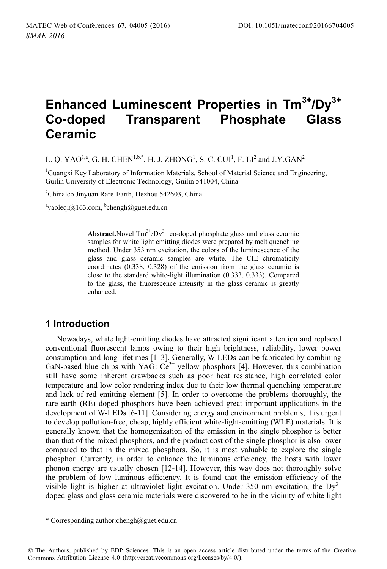# **Enhanced Luminescent Properties in Tm3+/Dy3+ Co-doped Transparent Phosphate Glass Ceramic**

L. Q. YAO $^{1,a}$ , G. H. CHEN $^{1,b,*}$ , H. J. ZHONG $^{1}$ , S. C. CUI $^{1}$ , F. LI $^{2}$  and J.Y.GAN $^{2}$ 

<sup>1</sup>Guangxi Key Laboratory of Information Materials, School of Material Science and Engineering, Guilin University of Electronic Technology, Guilin 541004, China

2 Chinalco Jinyuan Rare-Earth, Hezhou 542603, China

<sup>a</sup>yaoleqi@163.com, <sup>b</sup>chengh@guet.edu.cn

**Abstract.**Novel  $\text{Tm}^{3+}/\text{Dy}^{3+}$  co-doped phosphate glass and glass ceramic samples for white light emitting diodes were prepared by melt quenching method. Under 353 nm excitation, the colors of the luminescence of the glass and glass ceramic samples are white. The CIE chromaticity coordinates (0.338, 0.328) of the emission from the glass ceramic is close to the standard white-light illumination (0.333, 0.333). Compared to the glass, the fluorescence intensity in the glass ceramic is greatly enhanced.

## **1 Introduction**

Nowadays, white light-emitting diodes have attracted significant attention and replaced conventional fluorescent lamps owing to their high brightness, reliability, lower power consumption and long lifetimes [1–3]. Generally, W-LEDs can be fabricated by combining GaN-based blue chips with YAG:  $Ce^{3+}$  yellow phosphors [4]. However, this combination still have some inherent drawbacks such as poor heat resistance, high correlated color temperature and low color rendering index due to their low thermal quenching temperature and lack of red emitting element [5]. In order to overcome the problems thoroughly, the rare-earth (RE) doped phosphors have been achieved great important applications in the development of W-LEDs [6-11]. Considering energy and environment problems, it is urgent to develop pollution-free, cheap, highly efficient white-light-emitting (WLE) materials. It is generally known that the homogenization of the emission in the single phosphor is better than that of the mixed phosphors, and the product cost of the single phosphor is also lower compared to that in the mixed phosphors. So, it is most valuable to explore the single phosphor. Currently, in order to enhance the luminous efficiency, the hosts with lower phonon energy are usually chosen [12-14]. However, this way does not thoroughly solve the problem of low luminous efficiency. It is found that the emission efficiency of the visible light is higher at ultraviolet light excitation. Under 350 nm excitation, the  $Dy^{3+}$ doped glass and glass ceramic materials were discovered to be in the vicinity of white light

-----------------------

--------------------------------

<sup>-</sup>----\* Corresponding author:chengh@guet.edu.cn

<sup>©</sup> The Authors, published by EDP Sciences. This is an open access article distributed under the terms of the Creative Commons Attribution License 4.0 (http://creativecommons.org/licenses/by/4.0/).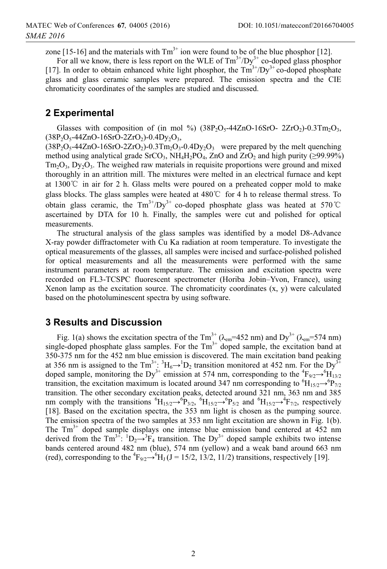zone [15-16] and the materials with  $Tm<sup>3+</sup>$  ion were found to be of the blue phosphor [12].

For all we know, there is less report on the WLE of  $Tm^{3+}/Dy^{3+}$  co-doped glass phosphor [17]. In order to obtain enhanced white light phosphor, the  $Tm^{3+}/Dy^{3+}$  co-doped phosphate glass and glass ceramic samples were prepared. The emission spectra and the CIE chromaticity coordinates of the samples are studied and discussed.

#### **2 Experimental**

Glasses with composition of (in mol %) ( $38P_2O_5$ -44ZnO-16SrO- 2ZrO<sub>2</sub>)-0.3Tm<sub>2</sub>O<sub>3</sub>,  $(38P_2O_5 - 44ZnO - 16SrO - 2ZrO_2) - 0.4Dy_2O_3$ 

 $(38P_2O_5-44ZnO-16SrO-2ZrO_2)-0.3Tm_2O_3-0.4Dy_2O_3$  were prepared by the melt quenching method using analytical grade SrCO<sub>3</sub>,  $NH_4H_2PO_4$ , ZnO and ZrO<sub>2</sub> and high purity ( $\geq$ 99.99%)  $Tm_2O_3$ ,  $Dy_2O_3$ . The weighed raw materials in requisite proportions were ground and mixed thoroughly in an attrition mill. The mixtures were melted in an electrical furnace and kept at 1300 $\degree$  in air for 2 h. Glass melts were poured on a preheated copper mold to make glass blocks. The glass samples were heated at  $480^{\circ}$  for 4 h to release thermal stress. To obtain glass ceramic, the  $Tm^{3+}/Dy^{3+}$  co-doped phosphate glass was heated at 570<sup>°</sup>C ascertained by DTA for 10 h. Finally, the samples were cut and polished for optical measurements.

The structural analysis of the glass samples was identified by a model D8-Advance X-ray powder diffractometer with Cu Ka radiation at room temperature. To investigate the optical measurements of the glasses, all samples were incised and surface-polished polished for optical measurements and all the measurements were performed with the same instrument parameters at room temperature. The emission and excitation spectra were recorded on FL3-TCSPC fluorescent spectrometer (Horiba Jobin–Yvon, France), using Xenon lamp as the excitation source. The chromaticity coordinates  $(x, y)$  were calculated based on the photoluminescent spectra by using software.

## **3 Results and Discussion**

Fig. 1(a) shows the excitation spectra of the Tm<sup>3+</sup> ( $\lambda_{em}$ =452 nm) and Dy<sup>3+</sup> ( $\lambda_{em}$ =574 nm) single-doped phosphate glass samples. For the  $Tm<sup>3+</sup>$  doped sample, the excitation band at 350-375 nm for the 452 nm blue emission is discovered. The main excitation band peaking at 356 nm is assigned to the Tm<sup>3+</sup>:  ${}^{3}H_{6}\rightarrow {}^{1}D_{2}$  transition monitored at 452 nm. For the Dy<sup>3+</sup> doped sample, monitoring the Dy<sup>3+</sup> emission at 574 nm, corresponding to the  ${}^{4}F_{9/2} \rightarrow {}^{6}H_{13/2}$ transition, the excitation maximum is located around 347 nm corresponding to  ${}^{6}H_{15/2} \rightarrow {}^{6}P_{7/2}$ transition. The other secondary excitation peaks, detected around 321 nm, 363 nm and 385 nm comply with the transitions  ${}^6H_{15/2} \rightarrow {}^6P_{3/2}$ ,  ${}^6H_{15/2} \rightarrow {}^6P_{5/2}$  and  ${}^6H_{15/2} \rightarrow {}^4F_{7/2}$ , respectively [18]. Based on the excitation spectra, the 353 nm light is chosen as the pumping source. The emission spectra of the two samples at 353 nm light excitation are shown in Fig. 1(b). The Tm<sup>3+</sup> doped sample displays one intense blue emission band centered at 452 nm derived from the Tm<sup>3+</sup>:  ${}^{1}D_{2} \rightarrow {}^{3}F_{4}$  transition. The Dy<sup>3+</sup> doped sample exhibits two intense bands centered around 482 nm (blue), 574 nm (yellow) and a weak band around 663 nm (red), corresponding to the  ${}^{4}F_{9/2} \rightarrow {}^{6}H_J (J = 15/2, 13/2, 11/2)$  transitions, respectively [19].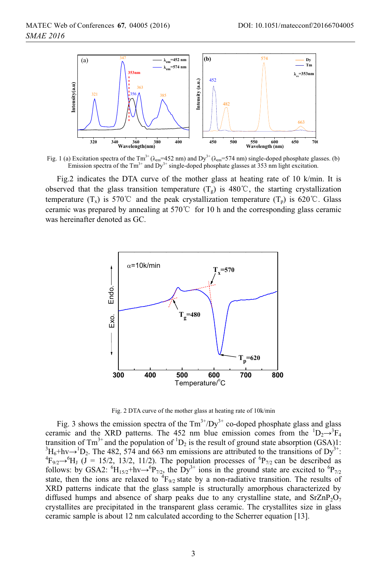

Fig. 1 (a) Excitation spectra of the Tm<sup>3+</sup> ( $\lambda_{em}$ =452 nm) and Dy<sup>3+</sup> ( $\lambda_{em}$ =574 nm) single-doped phosphate glasses. (b) Emission spectra of the  $Tm^{3+}$  and  $Dy^{3+}$  single-doped phosphate glasses at 353 nm light excitation.

Fig.2 indicates the DTA curve of the mother glass at heating rate of 10 k/min. It is observed that the glass transition temperature  $(T_g)$  is 480°C, the starting crystallization temperature  $(T_x)$  is 570°C and the peak crystallization temperature  $(T_p)$  is 620°C. Glass ceramic was prepared by annealing at  $570^{\circ}$  for 10 h and the corresponding glass ceramic was hereinafter denoted as GC.



Fig. 2 DTA curve of the mother glass at heating rate of 10k/min

Fig. 3 shows the emission spectra of the  $Tm^{3+}/Dy^{3+}$  co-doped phosphate glass and glass ceramic and the XRD patterns. The 452 nm blue emission comes from the  ${}^{1}D_{2} \rightarrow {}^{3}F_{4}$ transition of Tm<sup>3+</sup> and the population of <sup>1</sup>D<sub>2</sub> is the result of ground state absorption (GSA)1:<br><sup>3</sup>H<sub>2</sub>+by <sup>1</sup>D<sub>2</sub> The 482, 574 and 663 nm emissions are attributed to the transitions of Dv<sup>3+</sup>  ${}^{3}H_{6} + h\nu \rightarrow {}^{1}D_{2}$ . The 482, 574 and 663 nm emissions are attributed to the transitions of Dy<sup>3+</sup>:  ${}^{4}E_{1}$ ,  ${}^{6}H_{1}$  (I = 15/2, 13/2, 11/2). The population processes of <sup>6</sup>P, can be described as  $F_{9/2} \rightarrow {}^{6}H_J$  (J = 15/2, 13/2, 11/2). The population processes of  ${}^{6}P_{7/2}$  can be described as follows: by GSA2:  ${}^{6}H_{15/2}$ +hv $\rightarrow {}^{6}P_{7/2}$ , the Dy<sup>3+</sup> ions in the ground state are excited to  ${}^{6}P_{7/2}$ state, then the ions are relaxed to  ${}^{4}F_{9/2}$  state by a non-radiative transition. The results of XRD patterns indicate that the glass sample is structurally amorphous characterized by diffused humps and absence of sharp peaks due to any crystalline state, and  $SrZnP_2O_7$ crystallites are precipitated in the transparent glass ceramic. The crystallites size in glass ceramic sample is about 12 nm calculated according to the Scherrer equation [13].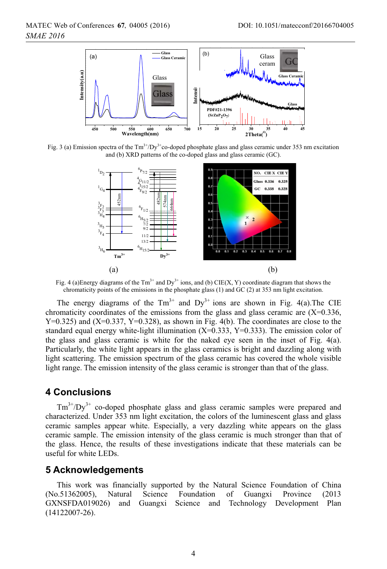

Fig. 3 (a) Emission spectra of the  $Tm^{3+}/Dy^{3+}$ co-doped phosphate glass and glass ceramic under 353 nm excitation and (b) XRD patterns of the co-doped glass and glass ceramic (GC).



Fig. 4 (a)Energy diagrams of the  $Tm<sup>3+</sup>$  and  $Dy<sup>3+</sup>$  ions, and (b) CIE(X, Y) coordinate diagram that shows the chromaticity points of the emissions in the phosphate glass (1) and GC (2) at 353 nm light excitation.

The energy diagrams of the  $Tm^{3+}$  and  $Dy^{3+}$  ions are shown in Fig. 4(a). The CIE chromaticity coordinates of the emissions from the glass and glass ceramic are  $(X=0.336,$  $Y=0.325$ ) and  $(X=0.337, Y=0.328)$ , as shown in Fig. 4(b). The coordinates are close to the standard equal energy white-light illumination  $(X=0.333, Y=0.333)$ . The emission color of the glass and glass ceramic is white for the naked eye seen in the inset of Fig. 4(a). Particularly, the white light appears in the glass ceramics is bright and dazzling along with light scattering. The emission spectrum of the glass ceramic has covered the whole visible light range. The emission intensity of the glass ceramic is stronger than that of the glass.

#### **4 Conclusions**

 $Tm^{3+}/Dy^{3+}$  co-doped phosphate glass and glass ceramic samples were prepared and characterized. Under 353 nm light excitation, the colors of the luminescent glass and glass ceramic samples appear white. Especially, a very dazzling white appears on the glass ceramic sample. The emission intensity of the glass ceramic is much stronger than that of the glass. Hence, the results of these investigations indicate that these materials can be useful for white LEDs.

## **5 Acknowledgements**

This work was financially supported by the Natural Science Foundation of China (No.51362005), Natural Science Foundation of Guangxi Province (2013 GXNSFDA019026) and Guangxi Science and Technology Development Plan (14122007-26).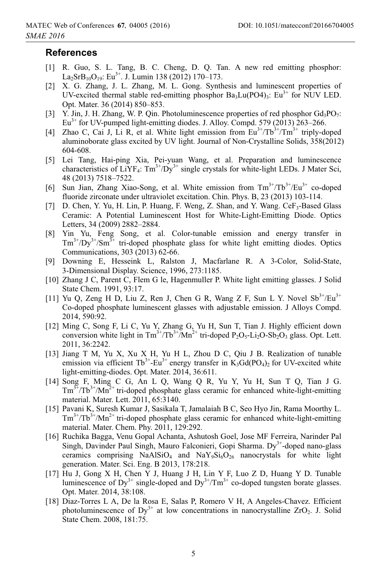#### **References**

- [1] R. Guo, S. L. Tang, B. C. Cheng, D. Q. Tan. A new red emitting phosphor:  $La_2SrB_{10}O_{19}$ : Eu<sup>3+</sup>. J. Lumin 138 (2012) 170–173.
- [2] X. G. Zhang, J. L. Zhang, M. L. Gong. Synthesis and luminescent properties of UV-excited thermal stable red-emitting phosphor  $Ba_3Lu(PO4)$ <sub>3</sub>: Eu<sup>3+</sup> for NUV LED. Opt. Mater. 36 (2014) 850–853.
- [3] Y. Jin, J. H. Zhang, W. P. Qin. Photoluminescence properties of red phosphor  $Gd_3PO_7$ :  $Eu<sup>3+</sup>$  for UV-pumped light-emitting diodes. J. Alloy. Compd. 579 (2013) 263–266.
- [4] Zhao C, Cai J, Li R, et al. White light emission from  $Eu^{3+}/Tb^{3+}/Tm^{3+}$  triply-doped aluminoborate glass excited by UV light. Journal of Non-Crystalline Solids, 358(2012) 604-608.
- [5] Lei Tang, Hai-ping Xia, Pei-yuan Wang, et al. Preparation and luminescence characteristics of  $LiYF_4$ :  $Tm^{3+}/Dy^{3+}$  single crystals for white-light LEDs. J Mater Sci, 48 (2013) 7518–7522.
- [6] Sun Jian, Zhang Xiao-Song, et al. White emission from  $Tm^{3+}/Tb^{3+}/Eu^{3+}$  co-doped fluoride zirconate under ultraviolet excitation. Chin. Phys. B, 23 (2013) 103-114.
- [7] D. Chen, Y. Yu, H. Lin, P. Huang, F. Weng, Z. Shan, and Y. Wang. CeF<sub>3</sub>-Based Glass Ceramic: A Potential Luminescent Host for White-Light-Emitting Diode. Optics Letters, 34 (2009) 2882–2884.
- [8] Yin Yu, Feng Song, et al. Color-tunable emission and energy transfer in  $Tm^{3+}/Dy^{3+}/Sm^{3+}$  tri-doped phosphate glass for white light emitting diodes. Optics Communications, 303 (2013) 62-66.
- [9] Downing E, Hesseink L, Ralston J, Macfarlane R. A 3-Color, Solid-State, 3-Dimensional Display. Science, 1996, 273:1185.
- [10] Zhang J C, Parent C, Flem G le, Hagenmuller P. White light emitting glasses. J Solid State Chem. 1991, 93:17.
- [11] Yu Q, Zeng H D, Liu Z, Ren J, Chen G R, Wang Z F, Sun L Y. Novel  $Sb^{3+}/Eu^{3+}$ Co-doped phosphate luminescent glasses with adjustable emission. J Alloys Compd. 2014, 590:92.
- [12] Ming C, Song F, Li C, Yu Y, Zhang G, Yu H, Sun T, Tian J. Highly efficient down conversion white light in  $Tm^{3+}/Tb^{3+}/Mn^{2+}$  tri-doped  $P_2O_5$ -Li<sub>2</sub>O-Sb<sub>2</sub>O<sub>3</sub> glass. Opt. Lett. 2011, 36:2242.
- [13] Jiang T M, Yu X, Xu X H, Yu H L, Zhou D C, Qiu J B. Realization of tunable emission via efficient Tb<sup>3+</sup>-Eu<sup>3+</sup> energy transfer in K<sub>3</sub>Gd(PO<sub>4</sub>)<sub>2</sub> for UV-excited white light-emitting-diodes. Opt. Mater. 2014, 36:611.
- [14] Song F, Ming C G, An L Q, Wang Q R, Yu Y, Yu H, Sun T Q, Tian J G.  $\text{Tr}^{3+}/\text{Tr}^{3+}/\text{Mn}^{2+}$  tri-doped phosphate glass ceramic for enhanced white-light-emitting material. Mater. Lett. 2011, 65:3140.
- [15] Pavani K, Suresh Kumar J, Sasikala T, Jamalaiah B C, Seo Hyo Jin, Rama Moorthy L.  $Tm^{3+}/Tb^{3+}/Mn^{2+}$  tri-doped phosphate glass ceramic for enhanced white-light-emitting material. Mater. Chem. Phy. 2011, 129:292.
- [16] Ruchika Bagga, Venu Gopal Achanta, Ashutosh Goel, Jose MF Ferreira, Narinder Pal Singh, Davinder Paul Singh, Mauro Falconieri, Gopi Sharma. Dy<sup>3+</sup>-doped nano-glass ceramics comprising NaAlSiO<sub>4</sub> and NaY<sub>9</sub>Si<sub>6</sub>O<sub>26</sub> nanocrystals for white light generation. Mater. Sci. Eng. B 2013, 178:218.
- [17] Hu J, Gong X H, Chen Y J, Huang J H, Lin Y F, Luo Z D, Huang Y D. Tunable luminescence of  $Dy^{3+}$  single-doped and  $Dy^{3+}/Tm^{3+}$  co-doped tungsten borate glasses. Opt. Mater. 2014, 38:108.
- [18] Diaz-Torres L A, De la Rosa E, Salas P, Romero V H, A Angeles-Chavez. Efficient photoluminescence of  $Dy^{3+}$  at low concentrations in nanocrystalline ZrO<sub>2</sub>. J. Solid State Chem. 2008, 181:75.